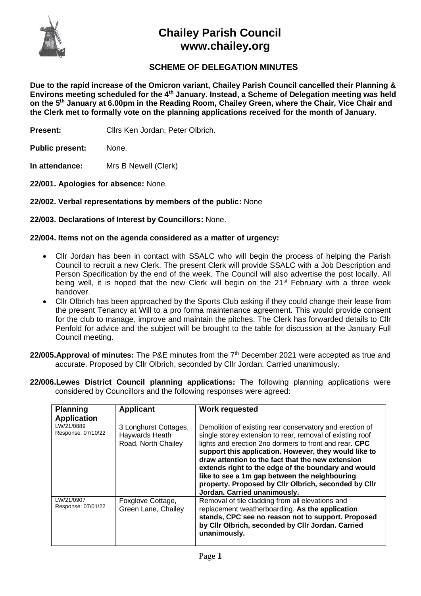

## **Chailey Parish Council www.chailey.org**

## **SCHEME OF DELEGATION MINUTES**

**Due to the rapid increase of the Omicron variant, Chailey Parish Council cancelled their Planning & Environs meeting scheduled for the 4th January. Instead, a Scheme of Delegation meeting was held on the 5 th January at 6.00pm in the Reading Room, Chailey Green, where the Chair, Vice Chair and the Clerk met to formally vote on the planning applications received for the month of January.**

**Present:** Cllrs Ken Jordan, Peter Olbrich.

**Public present:** None.

**In attendance:** Mrs B Newell (Clerk)

**22/001. Apologies for absence:** None.

## **22/002. Verbal representations by members of the public:** None

**22/003. Declarations of Interest by Councillors:** None.

## **22/004. Items not on the agenda considered as a matter of urgency:**

- Cllr Jordan has been in contact with SSALC who will begin the process of helping the Parish Council to recruit a new Clerk. The present Clerk will provide SSALC with a Job Description and Person Specification by the end of the week. The Council will also advertise the post locally. All being well, it is hoped that the new Clerk will begin on the 21<sup>st</sup> February with a three week handover.
- Cllr Olbrich has been approached by the Sports Club asking if they could change their lease from the present Tenancy at Will to a pro forma maintenance agreement. This would provide consent for the club to manage, improve and maintain the pitches. The Clerk has forwarded details to Cllr Penfold for advice and the subject will be brought to the table for discussion at the January Full Council meeting.
- 22/005. Approval of minutes: The P&E minutes from the 7<sup>th</sup> December 2021 were accepted as true and accurate. Proposed by Cllr Olbrich, seconded by Cllr Jordan. Carried unanimously.
- **22/006.Lewes District Council planning applications:** The following planning applications were considered by Councillors and the following responses were agreed:

| <b>Planning</b><br><b>Application</b> | <b>Applicant</b>                                               | <b>Work requested</b>                                                                                                                                                                                                                                                                                                                                                                                                                                                                         |
|---------------------------------------|----------------------------------------------------------------|-----------------------------------------------------------------------------------------------------------------------------------------------------------------------------------------------------------------------------------------------------------------------------------------------------------------------------------------------------------------------------------------------------------------------------------------------------------------------------------------------|
| LW/21/0889<br>Response: 07/10/22      | 3 Longhurst Cottages,<br>Haywards Heath<br>Road, North Chailey | Demolition of existing rear conservatory and erection of<br>single storey extension to rear, removal of existing roof<br>lights and erection 2no dormers to front and rear. CPC<br>support this application. However, they would like to<br>draw attention to the fact that the new extension<br>extends right to the edge of the boundary and would<br>like to see a 1m gap between the neighbouring<br>property. Proposed by Cllr Olbrich, seconded by Cllr<br>Jordan. Carried unanimously. |
| LW/21/0907<br>Response: 07/01/22      | Foxglove Cottage,<br>Green Lane, Chailey                       | Removal of tile cladding from all elevations and<br>replacement weatherboarding. As the application<br>stands, CPC see no reason not to support. Proposed<br>by Cllr Olbrich, seconded by Cllr Jordan. Carried<br>unanimously.                                                                                                                                                                                                                                                                |